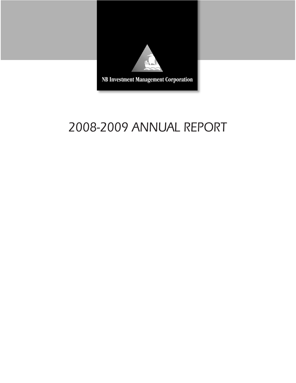

# *2008-2009 ANNUAL REPORT*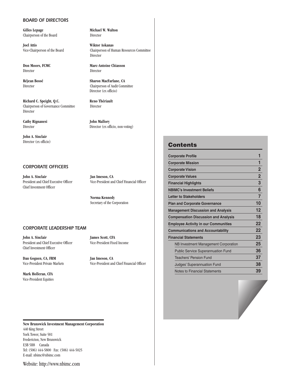#### *BOARD OF DIRECTORS*

Chairperson of the Board Director

**Joel Attis Wiktor Askanas**

Director Director

**Richard C. Speight, Q.C. Reno Thériault**<br>Chairperson of Governance Committee **Director** Chairperson of Governance Committee Director

**Cathy Rignanesi John Mallory**

**John A. Sinclair** Director (ex officio)

#### *CORPORATE OFFICERS*

**John A. Sinclair Jan Imeson, CA**<br>President and Chief Executive Officer Vice-President and Chief Investment Officer

**Gilles Lepage Michael W. Walton**

Vice-Chairperson of the Board Chairperson of Human Resources Committee Director

**Don Moors, FCMC** Marc-Antoine Chiasson

**Réjean Bossé Sharon MacFarlane, CA** Director Chairperson of Audit Committee Director (ex officio)

Director Director (ex officio, non-voting)

# **Contents**

| <b>Corporate Profile</b>                    | 1              |
|---------------------------------------------|----------------|
| <b>Corporate Mission</b>                    | 1              |
| <b>Corporate Vision</b>                     | $\overline{2}$ |
| <b>Corporate Values</b>                     | $\overline{2}$ |
| <b>Financial Highlights</b>                 | 3              |
| <b>NBIMC's Investment Beliefs</b>           | 6              |
| <b>Letter to Stakeholders</b>               | $\overline{7}$ |
| <b>Plan and Corporate Governance</b>        | 10             |
| <b>Management Discussion and Analysis</b>   | 12             |
| <b>Compensation Discussion and Analysis</b> | 18             |
| <b>Employee Activity in our Communities</b> | 22             |
| <b>Communications and Accountability</b>    | 22             |
| <b>Financial Statements</b>                 | 23             |
| NB Investment Management Corporation        | 25             |
| <b>Public Service Superannuation Fund</b>   | 36             |
| <b>Teachers' Pension Fund</b>               | 37             |
| Judges' Superannuation Fund                 | 38             |
| <b>Notes to Financial Statements</b>        | 39             |

*CORPORATE LEADERSHIP TEAM*

**John A. Sinclair James Scott, CFA** President and Chief Executive Officer Vice-President Fixed Income Chief Investment Officer

**Dan Goguen, CA, FRM Jan Imeson, CA** 

**Mark Holleran, CFA** Vice-President Equities

**Norma Kennedy** Secretary of the Corporation

Vice-President Private Markets Vice-President and Chief Financial Officer

Vice-President and Chief Financial Officer

**New Brunswick Investment Management Corporation** 440 King Street York Tower, Suite 581 Fredericton, New Brunswick E3B 5H8 Canada Tel: (506) 444-5800 Fax: (506) 444-5025 E-mail: nbimc@nbimc.com

Website: http://www.nbimc.com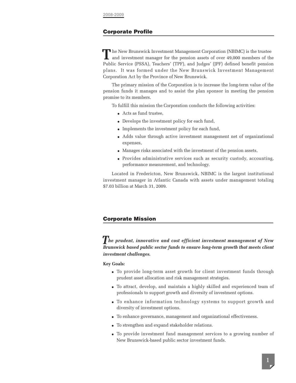# **Corporate Profile**

he New Brunswick Investment Management Corporation (NBIMC) is the trustee and investment manager for the pension assets of over 49,000 members of the **T T** Public Service (PSSA), Teachers' (TPF), and Judges' (JPF) defined benefit pension plans. It was formed under the New Brunswick Investment Management Corporation Act by the Province of New Brunswick.

The primary mission of the Corporation is to increase the long-term value of the pension funds it manages and to assist the plan sponsor in meeting the pension promise to its members.

To fulfill this mission the Corporation conducts the following activities:

- Acts as fund trustee,
- Develops the investment policy for each fund,
- Implements the investment policy for each fund,
- Adds value through active investment management net of organizational expenses,
- Manages risks associated with the investment of the pension assets,
- Provides administrative services such as security custody, accounting, performance measurement, and technology.

Located in Fredericton, New Brunswick, NBIMC is the largest institutional investment manager in Atlantic Canada with assets under management totaling \$7.03 billion at March 31, 2009.

## **Corporate Mission**

*he prudent, innovative and cost efficient investment management of New***<br>
<b>The prudent investment management of New** *Brunswick based public sector funds to ensure long-term growth that meets client investment challenges.*

#### **Key Goals:**

- To provide long-term asset growth for client investment funds through prudent asset allocation and risk management strategies.
- To attract, develop, and maintain a highly skilled and experienced team of professionals to support growth and diversity of investment options.
- To enhance information technology systems to support growth and diversity of investment options.
- To enhance governance, management and organizational effectiveness.
- To strengthen and expand stakeholder relations.
- To provide investment fund management services to a growing number of New Brunswick-based public sector investment funds.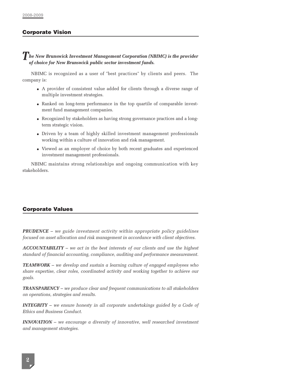# **Corporate Vision**

# *he New Brunswick Investment Management Corporation (NBIMC) is the provider***<br>
of choice for New Brunowick public certain investment funds** *of choice for New Brunswick public sector investment funds.*

NBIMC is recognized as a user of "best practices" by clients and peers. The company is:

- A provider of consistent value added for clients through a diverse range of multiple investment strategies.
- Ranked on long-term performance in the top quartile of comparable investment fund management companies.
- Recognized by stakeholders as having strong governance practices and a longterm strategic vision.
- Driven by a team of highly skilled investment management professionals working within a culture of innovation and risk management.
- Viewed as an employer of choice by both recent graduates and experienced investment management professionals.

NBIMC maintains strong relationships and ongoing communication with key stakeholders.

# **Corporate Values**

*PRUDENCE* – *we guide investment activity within appropriate policy guidelines focused on asset allocation and risk management in accordance with client objectives.*

*ACCOUNTABILITY* – *we act in the best interests of our clients and use the highest standard of financial accounting, compliance, auditing and performance measurement.*

*TEAMWORK* – *we develop and sustain a learning culture of engaged employees who share expertise, clear roles, coordinated activity and working together to achieve our goals.*

*TRANSPARENCY* – *we produce clear and frequent communications to all stakeholders on operations, strategies and results.*

*INTEGRITY* – *we ensure honesty in all corporate undertakings guided by a Code of Ethics and Business Conduct.*

*INNOVATION* – *we encourage a diversity of innovative, well researched investment and management strategies.*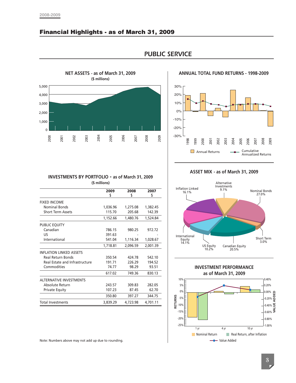



# *PUBLIC SERVICE*

**ANNUAL TOTAL FUND RETURNS - 1998-2009**



#### **INVESTMENTS BY PORTFOLIO - as of March 31, 2009 (\$ millions)**

| 2000                           | 2001 | 2002 | 2003 | 2004          | 2005       | 2006   | 2007                                                   | 2008       | 2009  |
|--------------------------------|------|------|------|---------------|------------|--------|--------------------------------------------------------|------------|-------|
|                                |      |      |      | (\$ millions) |            |        | <b>INVESTMENTS BY PORTFOLIO - as of March 31, 2009</b> |            |       |
|                                |      |      |      |               | 2009<br>\$ |        | 2008<br>\$                                             | 2007<br>\$ |       |
| <b>FIXED INCOME</b>            |      |      |      |               |            |        |                                                        |            |       |
| <b>Nominal Bonds</b>           |      |      |      |               | 1,036.96   |        | 1,275.08                                               | 1,382.45   |       |
| <b>Short Term Assets</b>       |      |      |      | 115.70        |            | 205.68 |                                                        | 142.39     |       |
|                                |      |      |      |               | 1,152.66   |        | 1,480.76                                               | 1,524.84   |       |
| PUBLIC EQUITY                  |      |      |      |               |            |        |                                                        |            |       |
| Canadian                       |      |      |      |               | 786.15     |        | 980.25                                                 | 972.72     |       |
| US                             |      |      |      |               | 391.63     |        |                                                        |            |       |
| International                  |      |      |      |               | 541.04     |        | 1,116.34                                               | 1,028.67   |       |
|                                |      |      |      |               | 1,718.81   |        | 2,096.59                                               | 2,001.39   |       |
| <b>INFLATION LINKED ASSETS</b> |      |      |      |               |            |        |                                                        |            |       |
| <b>Real Return Bonds</b>       |      |      |      |               | 350.54     |        | 424.78                                                 | 542.10     |       |
| Real Estate and Infrastructure |      |      |      |               | 191.71     |        | 226.29                                                 | 194.52     |       |
| Commodities                    |      |      |      |               | 74.77      |        | 98.29                                                  |            | 93.51 |
|                                |      |      |      |               | 617.02     |        | 749.36                                                 | 830.13     |       |
| <b>ALTERNATIVE INVESTMENTS</b> |      |      |      |               |            |        |                                                        |            |       |
| Absolute Return                |      |      |      |               | 243.57     |        | 309.83                                                 | 282.05     |       |
| <b>Private Equity</b>          |      |      |      |               | 107.23     |        | 87.45                                                  |            | 62.70 |
|                                |      |      |      |               | 350.80     |        | 397.27                                                 | 344.75     |       |
| <b>Total Investments</b>       |      |      |      |               | 3,839.29   |        | 4,723.98                                               | 4,701.11   |       |







Note: Numbers above may not add up due to rounding.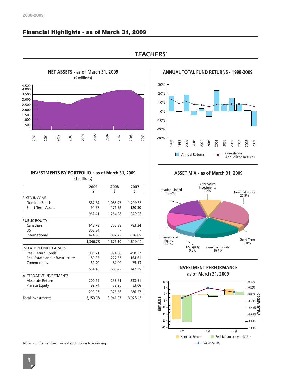# **Financial Highlights - as of March 31, 2009**



# *TEACHERS'*

-30%

30%

-20% -10% 0% 10% 20%

**ANNUAL TOTAL FUND RETURNS - 1998-2009**

#### **INVESTMENTS BY PORTFOLIO - as of March 31, 2009 (\$ millions)**

|                                | 2009                                                                             | 2008                                                               | 2007                                                 |
|--------------------------------|----------------------------------------------------------------------------------|--------------------------------------------------------------------|------------------------------------------------------|
|                                | \$                                                                               | \$                                                                 | \$                                                   |
| <b>FIXED INCOME</b>            |                                                                                  |                                                                    |                                                      |
|                                |                                                                                  |                                                                    | 1,209.63                                             |
|                                |                                                                                  |                                                                    | 120.30                                               |
|                                |                                                                                  |                                                                    | 1,329.93                                             |
| PUBLIC EQUITY                  |                                                                                  |                                                                    |                                                      |
| Canadian                       | 613.78                                                                           | 778.38                                                             | 783.34                                               |
|                                |                                                                                  |                                                                    |                                                      |
|                                |                                                                                  |                                                                    | 836.05                                               |
|                                | 1,346.78                                                                         | 1,676.10                                                           | 1,619.40                                             |
| <b>INFLATION LINKED ASSETS</b> |                                                                                  |                                                                    |                                                      |
| <b>Real Return Bonds</b>       | 303.71                                                                           | 374.08                                                             | 498.52                                               |
| Real Estate and Infrastructure | 189.05                                                                           | 227.33                                                             | 164.61                                               |
|                                |                                                                                  | 82.00                                                              | 79.13                                                |
|                                | 554.16                                                                           | 683.42                                                             | 742.25                                               |
| <b>ALTERNATIVE INVESTMENTS</b> |                                                                                  |                                                                    |                                                      |
| Absolute Return                | 200.29                                                                           | 253.61                                                             | 233.51                                               |
| <b>Private Equity</b>          | 89.74                                                                            | 72.96                                                              | 53.06                                                |
|                                | 290.03                                                                           | 326.56                                                             | 286.57                                               |
| <b>Total Investments</b>       |                                                                                  |                                                                    | 3,978.15                                             |
|                                | <b>Nominal Bonds</b><br><b>Short Term Assets</b><br>International<br>Commodities | 867.64<br>94.77<br>962.41<br>308.34<br>424.66<br>61.40<br>3,153.38 | 1,083.47<br>171.52<br>1,254.98<br>897.72<br>3,941.07 |

Note: Numbers above may not add up due to rounding.

**ASSET MIX - as of March 31, 2009**

Annual Returns - Cumulative

2009

Annualized Returns



**INVESTMENT PERFORMANCE as of March 31, 2009**

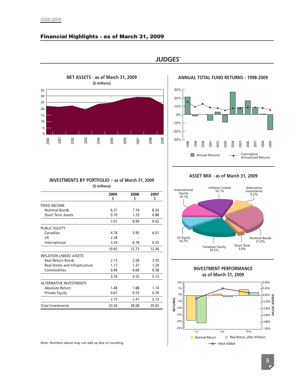# **Financial Highlights - as of March 31, 2009**



# *JUDGES'*



#### **INVESTMENTS BY PORTFOLIO - as of March 31, 2009 (\$ millions)**

| 2000                     | 2001                     | 2002                                                   | 2003 | 2004          | 2005       | 2006 | 2007       | 2008       | 2009 | $-30%$          | 1998               | 1999 | 2000                  | 2001 | 2002                             | 2004<br>2003         | 2005                 | 2006                                   | 2007                       | 2008           |
|--------------------------|--------------------------|--------------------------------------------------------|------|---------------|------------|------|------------|------------|------|-----------------|--------------------|------|-----------------------|------|----------------------------------|----------------------|----------------------|----------------------------------------|----------------------------|----------------|
|                          |                          |                                                        |      |               |            |      |            |            |      |                 |                    |      | <b>Annual Returns</b> |      |                                  |                      |                      | Cumulative<br><b>Annualized Return</b> |                            |                |
|                          |                          | <b>INVESTMENTS BY PORTFOLIO - as of March 31, 2009</b> |      |               |            |      |            |            |      |                 |                    |      |                       |      |                                  |                      |                      | ASSET MIX - as of March 31, 2009       |                            |                |
|                          |                          |                                                        |      | (\$ millions) |            |      |            |            |      | International   |                    |      |                       |      | <b>Inflation Linked</b><br>16.1% |                      |                      |                                        | Alternative<br>Investments |                |
|                          |                          |                                                        |      |               | 2009<br>\$ |      | 2008<br>\$ | 2007<br>\$ |      | Equity<br>14.1% |                    |      |                       |      |                                  |                      |                      |                                        | 9.2%                       |                |
| <b>FIXED INCOME</b>      |                          |                                                        |      |               |            |      |            |            |      |                 |                    |      |                       |      |                                  |                      |                      |                                        |                            |                |
|                          | <b>Nominal Bonds</b>     |                                                        |      |               | 6.31       |      | 7.74       | 8.54       |      |                 |                    |      |                       |      |                                  |                      |                      |                                        |                            |                |
|                          | <b>Short Term Assets</b> |                                                        |      |               | 0.70       |      | 1.25       | 0.88       |      |                 |                    |      |                       |      |                                  |                      |                      |                                        |                            |                |
|                          |                          |                                                        |      |               | 7.01       |      | 8.99       | 9.42       |      |                 |                    |      |                       |      |                                  |                      |                      |                                        |                            |                |
| PUBLIC EQUITY            |                          |                                                        |      |               |            |      |            |            |      |                 |                    |      |                       |      |                                  |                      |                      |                                        |                            |                |
| Canadian                 |                          |                                                        |      |               | 4.78       |      | 5.95       | 6.01       |      |                 |                    |      |                       |      |                                  |                      |                      |                                        |                            |                |
| <b>US</b>                |                          |                                                        |      |               | 2.38       |      |            |            |      |                 | US Equity<br>10.2% |      |                       |      |                                  |                      |                      |                                        | Nominal Bon                |                |
|                          | International            |                                                        |      |               | 3.29       |      | 6.78       | 6.35       |      |                 |                    |      |                       |      |                                  |                      | Short Term           |                                        | 27.0%                      |                |
|                          |                          |                                                        |      |               | 10.45      |      | 12.73      | 12.36      |      |                 |                    |      |                       |      | Canadian Equity<br>20.5%         |                      | 3.0%                 |                                        |                            |                |
|                          |                          | <b>INFLATION LINKED ASSETS</b>                         |      |               |            |      |            |            |      |                 |                    |      |                       |      |                                  |                      |                      |                                        |                            |                |
|                          | <b>Real Return Bonds</b> |                                                        |      |               | 2.13       |      | 2.58       | 3.35       |      |                 |                    |      |                       |      |                                  |                      |                      |                                        |                            |                |
|                          |                          | Real Estate and Infrastructure                         |      |               | 1.17       |      | 1.37       | 1.20       |      |                 |                    |      |                       |      |                                  |                      |                      |                                        |                            |                |
|                          | Commodities              |                                                        |      |               | 0.46       |      | 0.60       | 0.58       |      |                 |                    |      |                       |      |                                  |                      |                      | <b>INVESTMENT PERFORMANCE</b>          |                            |                |
|                          |                          |                                                        |      |               | 3.76       |      | 4.55       | 5.13       |      |                 |                    |      |                       |      |                                  |                      | as of March 31, 2009 |                                        |                            |                |
|                          |                          | <b>ALTERNATIVE INVESTMENTS</b>                         |      |               |            |      |            |            |      | 10%日            |                    |      |                       |      |                                  |                      |                      |                                        |                            | 0.40%          |
|                          | Absolute Return          |                                                        |      |               | 1.48       |      | 1.88       | 1.74       |      | 5%E             |                    |      |                       |      |                                  |                      |                      |                                        |                            | 0.20%          |
|                          | <b>Private Equity</b>    |                                                        |      |               | 0.67       |      | 0.53       | 0.39       |      | 0%              |                    |      |                       |      |                                  |                      |                      |                                        |                            | 0.009          |
|                          |                          |                                                        |      |               | 2.15       |      | 2.41       | 2.13       |      | $-5%$           |                    |      |                       |      |                                  |                      |                      |                                        |                            | $-0.20$        |
| <b>Total Investments</b> |                          |                                                        |      |               | 23.36      |      | 28.68      | 29.03      |      | <b>RETURNS</b>  |                    |      |                       |      |                                  |                      |                      |                                        |                            |                |
|                          |                          |                                                        |      |               |            |      |            |            |      | $-10\%$         |                    |      |                       |      |                                  |                      |                      |                                        |                            | $-0.40$        |
|                          |                          |                                                        |      |               |            |      |            |            |      | $-15%$          |                    |      |                       |      |                                  |                      |                      |                                        |                            | $-0.60$        |
|                          |                          |                                                        |      |               |            |      |            |            |      | $-20%$          |                    |      |                       |      |                                  |                      |                      |                                        |                            | $-0.80$        |
|                          |                          |                                                        |      |               |            |      |            |            |      | $-25%E$         |                    |      |                       |      |                                  |                      |                      |                                        |                            | $-1.00$        |
|                          |                          |                                                        |      |               |            |      |            |            |      |                 |                    | 1 yr |                       |      | 4 yr                             |                      |                      | 10 <sub>yr</sub>                       |                            |                |
|                          |                          |                                                        |      |               |            |      |            |            |      |                 |                    |      | Nominal Return        |      |                                  | a a                  |                      | Real Return, after Inflation           |                            |                |
|                          |                          | Note: Numbers above may not add up due to rounding.    |      |               |            |      |            |            |      |                 |                    |      |                       |      |                                  | <b>-</b> Value Added |                      |                                        |                            |                |
|                          |                          |                                                        |      |               |            |      |            |            |      |                 |                    |      |                       |      |                                  |                      |                      |                                        |                            |                |
|                          |                          |                                                        |      |               |            |      |            |            |      |                 |                    |      |                       |      |                                  |                      |                      |                                        |                            |                |
|                          |                          |                                                        |      |               |            |      |            |            |      |                 |                    |      |                       |      |                                  |                      |                      |                                        |                            | $\overline{5}$ |

**ASSET MIX - as of March 31, 2009**





-1.00%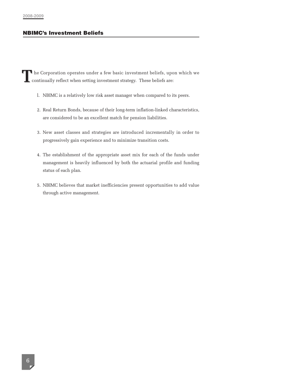# **NBIMC's Investment Beliefs**

he Corporation operates under a few basic investment beliefs, upon which we **T** he Corporation operates under a few basic investment beliefs, upc continually reflect when setting investment strategy. These beliefs are:

- l. NBIMC is a relatively low risk asset manager when compared to its peers.
- 2. Real Return Bonds, because of their long-term inflation-linked characteristics, are considered to be an excellent match for pension liabilities.
- 3. New asset classes and strategies are introduced incrementally in order to progressively gain experience and to minimize transition costs.
- 4. The establishment of the appropriate asset mix for each of the funds under management is heavily influenced by both the actuarial profile and funding status of each plan.
- 5. NBIMC believes that market inefficiencies present opportunities to add value through active management.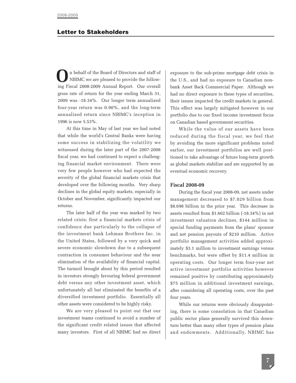n behalf of the Board of Directors and staff of NBIMC we are pleased to provide the follow-In behalf of the Board of Directors and staff of NBIMC we are pleased to provide the following Fiscal 2008-2009 Annual Report. Our overall gross rate of return for the year ending March 31, 2009 was -18.34%. Our longer term annualized four-year return was 0.90%, and the long-term annualized return since NBIMC's inception in 1996 is now 5.53%.

At this time in May of last year we had noted that while the world's Central Banks were having some success in stabilizing the volatility we witnessed during the later part of the 2007-2008 fiscal year, we had continued to expect a challenging financial market environment. There were very few people however who had expected the severity of the global financial markets crisis that developed over the following months. Very sharp declines in the global equity markets, especially in October and November, significantly impacted our returns.

The later half of the year was marked by two related crisis; first a financial markets crisis of confidence due particularly to the collapse of the investment bank Lehman Brothers Inc. in the United States, followed by a very quick and severe economic slowdown due to a subsequent contraction in consumer behaviour and the near elimination of the availability of financial capital. The turmoil brought about by this period resulted in investors strongly favouring federal government debt versus any other investment asset, which unfortunately all but eliminated the benefits of a diversified investment portfolio. Essentially all other assets were considered to be highly risky.

We are very pleased to point out that our investment teams continued to avoid a number of the significant credit related issues that affected many investors. First of all NBIMC had no direct

exposure to the sub-prime mortgage debt crisis in the U.S., and had no exposure to Canadian nonbank Asset Back Commercial Paper. Although we had no direct exposure to these types of securities, their issues impacted the credit markets in general. This effect was largely mitigated however in our portfolio due to our fixed income investment focus on Canadian based government securities.

While the value of our assets have been reduced during the fiscal year, we feel that by avoiding the more significant problems noted earlier, our investment portfolios are well positioned to take advantage of future long-term growth as global markets stabilize and are supported by an eventual economic recovery.

#### **Fiscal 2008-09**

During the fiscal year 2008-09, net assets under management decreased to \$7.029 billion from \$8.698 billion in the prior year. This decrease in assets resulted from \$1.602 billion (-18.34%) in net investment valuation declines, \$144 million in special funding payments from the plans' sponsor and net pension payouts of \$210 million. Active portfolio management activities added approximately \$3.1 million to investment earnings versus benchmarks, but were offset by \$11.4 million in operating costs. Our longer term four-year net active investment portfolio activities however remained positive by contributing approximately \$75 million in additional investment earnings, after considering all operating costs, over the past four years.

While our returns were obviously disappointing, there is some consolation in that Canadian public sector plans generally survived this downturn better than many other types of pension plans and endowments. Additionally, NBIMC has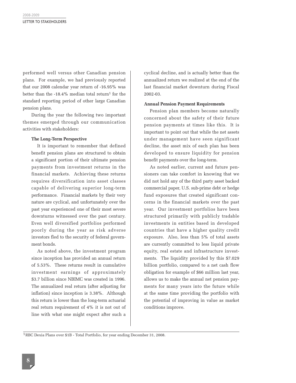performed well versus other Canadian pension plans. For example, we had previously reported that our 2008 calendar year return of -16.95% was better than the  $-18.4\%$  median total return<sup>1</sup> for the standard reporting period of other large Canadian pension plans.

During the year the following two important themes emerged through our communication activities with stakeholders:

#### **The Long-Term Perspective**

It is important to remember that defined benefit pension plans are structured to obtain a significant portion of their ultimate pension payments from investment returns in the financial markets. Achieving these returns requires diversification into asset classes capable of delivering superior long-term performance. Financial markets by their very nature are cyclical, and unfortunately over the past year experienced one of their most severe downturns witnessed over the past century. Even well diversified portfolios performed poorly during the year as risk adverse investors fled to the security of federal government bonds.

As noted above, the investment program since inception has provided an annual return of 5.53%. These returns result in cumulative investment earnings of approximately \$3.7 billion since NBIMC was created in 1996. The annualized real return (after adjusting for inflation) since inception is 3.38%. Although this return is lower than the long-term actuarial real return requirement of 4% it is not out of line with what one might expect after such a cyclical decline, and is actually better than the annualized return we realized at the end of the last financial market downturn during Fiscal 2002-03.

#### **Annual Pension Payment Requirements**

Pension plan members become naturally concerned about the safety of their future pension payments at times like this. It is important to point out that while the net assets under management have seen significant decline, the asset mix of each plan has been developed to ensure liquidity for pension benefit payments over the long-term.

As noted earlier, current and future pensioners can take comfort in knowing that we did not hold any of the third party asset backed commercial paper, U.S. sub-prime debt or hedge fund exposures that created significant concerns in the financial markets over the past year. Our investment portfolios have been structured primarily with publicly tradable investments in entities based in developed countries that have a higher quality credit exposure. Also, less than 5% of total assets are currently committed to less liquid private equity, real estate and infrastructure investments. The liquidity provided by this \$7.029 billion portfolio, compared to a net cash flow obligation for example of \$66 million last year, allows us to make the annual net pension payments for many years into the future while at the same time providing the portfolio with the potential of improving in value as market conditions improve.

<sup>1</sup>RBC Dexia Plans over \$1B - Total Portfolio, for year ending December 31, 2008.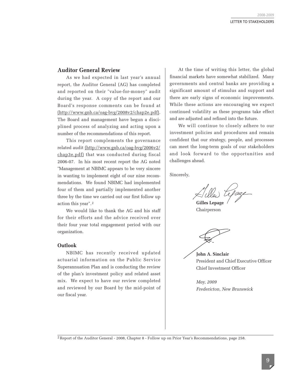# **Auditor General Review**

As we had expected in last year's annual report, the Auditor General (AG) has completed and reported on their "value-for-money" audit during the year. A copy of the report and our Board's response comments can be found at (http://www.gnb.ca/oag-bvg/2008v2/chap2e.pdf). The Board and management have begun a disciplined process of analyzing and acting upon a number of the recommendations of this report.

This report complements the governance related audit (http://www.gnb.ca/oag-bvg/2006v2/ chap3e.pdf) that was conducted during fiscal 2006-07. In his most recent report the AG noted "Management at NBIMC appears to be very sincere in wanting to implement eight of our nine recommendations. We found NBIMC had implemented four of them and partially implemented another three by the time we carried out our first follow up action this year".2

We would like to thank the AG and his staff for their efforts and the advice received over their four year total engagement period with our organization.

## **Outlook**

NBIMC has recently received updated actuarial information on the Public Service Superannuation Plan and is conducting the review of the plan's investment policy and related asset mix. We expect to have our review completed and reviewed by our Board by the mid-point of our fiscal year.

At the time of writing this letter, the global financial markets have somewhat stabilized. Many governments and central banks are providing a significant amount of stimulus and support and there are early signs of economic improvements. While these actions are encouraging we expect continued volatility as these programs take effect and are adjusted and refined into the future.

We will continue to closely adhere to our investment policies and procedures and remain confident that our strategy, people, and processes can meet the long-term goals of our stakeholders and look forward to the opportunities and challenges ahead.

Sincerely,

**Gilles Lepage** Chairperson

**John A. Sinclair** President and Chief Executive Officer Chief Investment Officer

*May, 2009 Fredericton, New Brunswick*

2Report of the Auditor General - 2008, Chapter 8 - Follow up on Prior Year's Recommendations, page 258.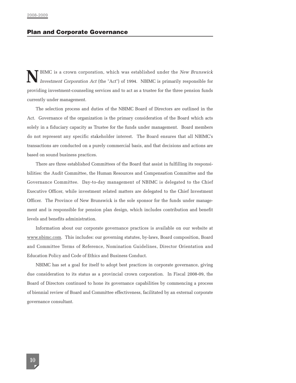BIMC is a crown corporation, which was established under the *New Brunswick Investment Corporation Act* (the "Act") of 1994. NBIMC is primarily responsible for providing investment-counseling services and to act as a trustee for the three pension funds currently under management. **N**

The selection process and duties of the NBIMC Board of Directors are outlined in the Act. Governance of the organization is the primary consideration of the Board which acts solely in a fiduciary capacity as Trustee for the funds under management. Board members do not represent any specific stakeholder interest. The Board ensures that all NBIMC's transactions are conducted on a purely commercial basis, and that decisions and actions are based on sound business practices.

There are three established Committees of the Board that assist in fulfilling its responsibilities: the Audit Committee, the Human Resources and Compensation Committee and the Governance Committee. Day-to-day management of NBIMC is delegated to the Chief Executive Officer, while investment related matters are delegated to the Chief Investment Officer. The Province of New Brunswick is the sole sponsor for the funds under management and is responsible for pension plan design, which includes contribution and benefit levels and benefits administration.

Information about our corporate governance practices is available on our website at www.nbimc.com. This includes: our governing statutes, by-laws, Board composition, Board and Committee Terms of Reference, Nomination Guidelines, Director Orientation and Education Policy and Code of Ethics and Business Conduct.

NBIMC has set a goal for itself to adopt best practices in corporate governance, giving due consideration to its status as a provincial crown corporation. In Fiscal 2008-09, the Board of Directors continued to hone its governance capabilities by commencing a process of biennial review of Board and Committee effectiveness, facilitated by an external corporate governance consultant.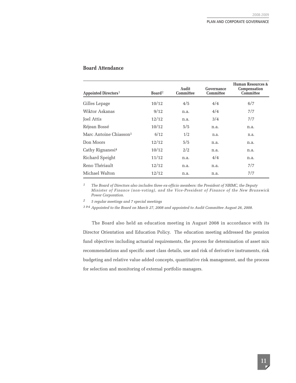| Appointed Directors <sup>1</sup>   | Board <sup>2</sup> | Audit<br><b>Committee</b> | Governance<br>Committee | Human Resources &<br>Compensation<br>Committee |
|------------------------------------|--------------------|---------------------------|-------------------------|------------------------------------------------|
| Gilles Lepage                      | 10/12              | 4/5                       | 4/4                     | 6/7                                            |
| Wiktor Askanas                     | 9/12               | n.a.                      | 4/4                     | 7/7                                            |
| <b>Joel Attis</b>                  | 12/12              | n.a.                      | 3/4                     | 7/7                                            |
| Réjean Bossé                       | 10/12              | 5/5                       | n.a.                    | n.a.                                           |
| Marc Antoine Chiasson <sup>3</sup> | 6/12               | 1/2                       | n.a.                    | n.a.                                           |
| Don Moors                          | 12/12              | 5/5                       | n.a.                    | n.a.                                           |
| Cathy Rignanesi <sup>4</sup>       | 10/12              | 2/2                       | n.a.                    | n.a.                                           |
| Richard Speight                    | 11/12              | n.a.                      | 4/4                     | n.a.                                           |
| Reno Thériault                     | 12/12              | n.a.                      | n.a.                    | 7/7                                            |
| Michael Walton                     | 12/12              | n.a.                      | n.a.                    | 7/7                                            |

## **Board Attendance**

*1 The Board of Directors also includes three ex-officio members: the President of NBIMC, the Deputy Minister of Finance (non-voting), and the Vice-President of Finance of the New Brunswick Power Corporation.*

*2 5 regular meetings and 7 special meetings*

*3 &4 Appointed to the Board on March 27, 2008 and appointed to Audit Committee August 26, 2008.*

The Board also held an education meeting in August 2008 in accordance with its Director Orientation and Education Policy. The education meeting addressed the pension fund objectives including actuarial requirements, the process for determination of asset mix recommendations and specific asset class details, use and risk of derivative instruments, risk budgeting and relative value added concepts, quantitative risk management, and the process for selection and monitoring of external portfolio managers.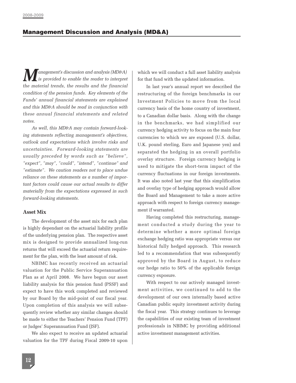*anagement's discussion and analysis (MD&A) is provided to enable the reader to interpret*<br> *is provided to enable the reader to interpret the material trends, the results and the financial condition of the pension funds. Key elements of the Funds' annual financial statements are explained and this MD&A should be read in conjunction with these annual financial statements and related notes.* 

*As well, this MD&A may contain forward-looking statements reflecting management's objectives, outlook and expectations which involve risks and uncertainties. Forward-looking statements are usually preceded by words such as "believe", "expect", "may", "could", "intend", "continue" and "estimate". We caution readers not to place undue reliance on these statements as a number of important factors could cause our actual results to differ materially from the expectations expressed in such forward-looking statements.*

#### **Asset Mix**

The development of the asset mix for each plan is highly dependant on the actuarial liability profile of the underlying pension plan. The respective asset mix is designed to provide annualized long-run returns that will exceed the actuarial return requirement for the plan, with the least amount of risk.

NBIMC has recently received an actuarial valuation for the Public Service Superannuation Plan as at April 2008. We have begun our asset liability analysis for this pension fund (PSSF) and expect to have this work completed and reviewed by our Board by the mid-point of our fiscal year. Upon completion of this analysis we will subsequently review whether any similar changes should be made to either the Teachers' Pension Fund (TPF) or Judges' Superannuation Fund (JSF).

We also expect to receive an updated actuarial valuation for the TPF during Fiscal 2009-10 upon which we will conduct a full asset liability analysis for that fund with the updated information.

In last year's annual report we described the restructuring of the foreign benchmarks in our Investment Policies to move from the local currency basis of the home country of investment, to a Canadian dollar basis. Along with the change in the benchmarks, we had simplified our currency hedging activity to focus on the main four currencies to which we are exposed (U.S. dollar, U.K. pound sterling, Euro and Japanese yen) and separated the hedging in an overall portfolio overlay structure. Foreign currency hedging is used to mitigate the short-term impact of the currency fluctuations in our foreign investments. It was also noted last year that this simplification and overlay type of hedging approach would allow the Board and Management to take a more active approach with respect to foreign currency management if warranted.

Having completed this restructuring, management conducted a study during the year to determine whether a more optimal foreign exchange hedging ratio was appropriate versus our historical fully hedged approach. This research led to a recommendation that was subsequently approved by the Board in August, to reduce our hedge ratio to 50% of the applicable foreign currency exposure.

With respect to our actively managed investment activities, we continued to add to the development of our own internally based active Canadian public equity investment activity during the fiscal year. This strategy continues to leverage the capabilities of our existing team of investment professionals in NBIMC by providing additional active investment management activities.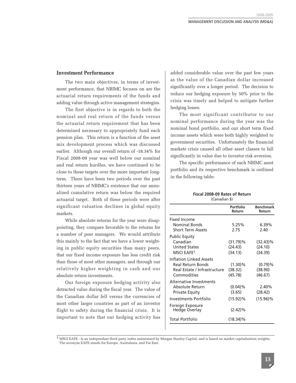## **Investment Performance**

The two main objectives, in terms of investment performance, that NBIMC focuses on are the actuarial return requirements of the funds and adding value through active management strategies.

The first objective is in regards to both the nominal and real return of the funds versus the actuarial return requirement that has been determined necessary to appropriately fund each pension plan. This return is a function of the asset mix development process which was discussed earlier. Although our overall return of -18.34% for Fiscal 2008-09 year was well below our nominal and real return hurdles, we have continued to be close to these targets over the more important longterm. There have been two periods over the past thirteen years of NBIMC's existence that our annualized cumulative return was below the required actuarial target. Both of these periods were after significant valuation declines in global equity markets.

While absolute returns for the year were disappointing, they compare favorable to the returns for a number of peer managers. We would attribute this mainly to the fact that we have a lower weighting in public equity securities than many peers, that our fixed income exposure has less credit risk than those of most other managers, and through our relatively higher weighting in cash and our absolute return investments.

Our foreign exposure hedging activity also detracted value during the fiscal year. The value of the Canadian dollar fell versus the currencies of most other larger countries as part of an investor flight to safety during the financial crisis. It is important to note that our hedging activity has

added considerable value over the past few years as the value of the Canadian dollar increased significantly over a longer period. The decision to reduce our hedging exposure by 50% prior to the crisis was timely and helped to mitigate further hedging losses.

The most significant contributor to our nominal performance during the year was the nominal bond portfolio, and our short term fixed income assets which were both highly weighted to government securities. Unfortunately the financial markets crisis caused all other asset classes to fall significantly in value due to investor risk aversion.

The specific performance of each NBIMC asset portfolio and its respective benchmark is outlined in the following table:

#### **Fiscal 2008-09 Rates of Return** (Canadian \$)

|                                   | Portfolio<br>Return | <b>Benchmark</b><br>Return |
|-----------------------------------|---------------------|----------------------------|
| <b>Fixed Income</b>               |                     |                            |
| <b>Nominal Bonds</b>              | 5.25%               | 6.39%                      |
| <b>Short Term Assets</b>          | 2.75                | 2.40                       |
| <b>Public Equity</b>              |                     |                            |
| Canadian                          | $(31.79)\%$         | $(32.43)\%$                |
| <b>United States</b>              | (24.43)             | (24.10)                    |
| MSCI EAFE1                        | (34.13)             | (34.39)                    |
| Inflation Linked Assets           |                     |                            |
| Real Return Bonds                 | $(1.30)\%$          | $(0.79)$ %                 |
| Real Estate / Infrastructure      | (38.32)             | (38.90)                    |
| Commodities                       | (45.78)             | (46.67)                    |
| Alternative Investments           |                     |                            |
| Absolute Return                   | $(0.04)\%$          | 2.40%                      |
| <b>Private Equity</b>             | (3.65)              | (28.42)                    |
| Investments Portfolio             | $(15.92)\%$         | $(15.96)\%$                |
| Foreign Exposure<br>Hedge Overlay | $(2.42)\%$          |                            |
| <b>Total Portfolio</b>            | $(18.34)\%$         |                            |

 $1$  MSCI EAFE - Is an independant third party index maintained by Morgan Stanley Capital, and is based on market capitalization weights. The acronym EAFE stands for Europe, Australasia, and Far East.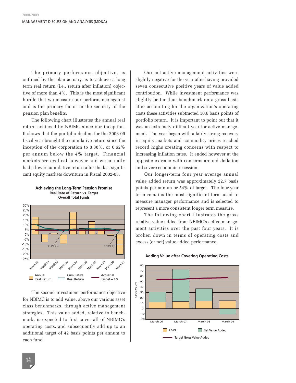The primary performance objective, as outlined by the plan actuary, is to achieve a long term real return (i.e., return after inflation) objective of more than 4%. This is the most significant hurdle that we measure our performance against and is the primary factor in the security of the pension plan benefits.

The following chart illustrates the annual real return achieved by NBIMC since our inception. It shows that the portfolio decline for the 2008-09 fiscal year brought the cumulative return since the inception of the corporation to 3.38%, or 0.62% per annum below the 4% target. Financial markets are cyclical however and we actually had a lower cumulative return after the last significant equity markets downturn in Fiscal 2002-03.





The second investment performance objective for NBIMC is to add value, above our various asset class benchmarks, through active management strategies. This value added, relative to benchmark, is expected to first cover all of NBIMC's operating costs, and subsequently add up to an additional target of 42 basis points per annum to each fund.

Our net active management activities were slightly negative for the year after having provided seven consecutive positive years of value added contribution. While investment performance was slightly better than benchmark on a gross basis after accounting for the organization's operating costs these activities subtracted 10.6 basis points of portfolio return. It is important to point out that it was an extremely difficult year for active management. The year began with a fairly strong recovery in equity markets and commodity prices reached record highs creating concerns with respect to increasing inflation rates. It ended however at the opposite extreme with concerns around deflation and severe economic recession.

Our longer-term four year average annual value added return was approximately 22.7 basis points per annum or 54% of target. The four-year term remains the most significant term used to measure manager performance and is selected to represent a more consistent longer term measure.

The following chart illustrates the gross relative value added from NBIMC's active management activities over the past four years. It is broken down in terms of operating costs and excess (or net) value added performance.



#### **Adding Value after Covering Operating Costs**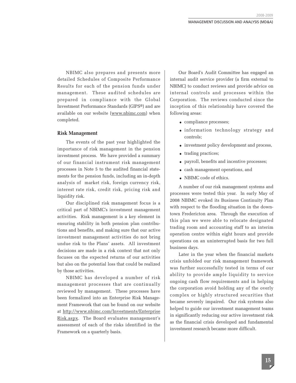NBIMC also prepares and presents more detailed Schedules of Composite Performance Results for each of the pension funds under management. These audited schedules are prepared in compliance with the Global Investment Performance Standards (GIPS®) and are available on our website (www.nbimc.com) when completed.

# **Risk Management**

The events of the past year highlighted the importance of risk management in the pension investment process. We have provided a summary of our financial instrument risk management processes in Note 5 to the audited financial statements for the pension funds, including an in-depth analysis of market risk, foreign currency risk, interest rate risk, credit risk, pricing risk and liquidity risk.

Our disciplined risk management focus is a critical part of NBIMC's investment management activities. Risk management is a key element in ensuring stability in both pension plan contributions and benefits, and making sure that our active investment management activities do not bring undue risk to the Plans' assets. All investment decisions are made in a risk context that not only focuses on the expected returns of our activities but also on the potential loss that could be realized by those activities.

NBIMC has developed a number of risk management processes that are continually reviewed by management. These processes have been formalized into an Enterprise Risk Management Framework that can be found on our website at http://www.nbimc.com/Investments/Enterprise Risk.aspx. The Board evaluates management's assessment of each of the risks identified in the Framework on a quarterly basis.

Our Board's Audit Committee has engaged an internal audit service provider (a firm external to NBIMC) to conduct reviews and provide advice on internal controls and processes within the Corporation. The reviews conducted since the inception of this relationship have covered the following areas:

- compliance processes;
- information technology strategy and controls;
- investment policy development and process,
- trading practices;
- payroll, benefits and incentive processes;
- cash management operations, and
- NBIMC code of ethics.

A number of our risk management systems and processes were tested this year. In early May of 2008 NBIMC evoked its Business Continuity Plan with respect to the flooding situation in the downtown Fredericton area. Through the execution of this plan we were able to relocate designated trading room and accounting staff to an interim operation centre within eight hours and provide operations on an uninterrupted basis for two full business days.

Later in the year when the financial markets crisis unfolded our risk management framework was further successfully tested in terms of our ability to provide ample liquidity to service ongoing cash flow requirements and in helping the corporation avoid holding any of the overly complex or highly structured securities that became severely impaired. Our risk systems also helped to guide our investment management teams in significantly reducing our active investment risk as the financial crisis developed and fundamental investment research became more difficult.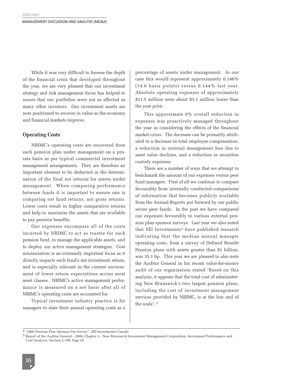While it was very difficult to foresee the depth of the financial crisis that developed throughout the year, we are very pleased that our investment strategy and risk management focus has helped to insure that our portfolios were not as affected as many other investors. Our investment assets are now positioned to recover in value as the economy and financial markets improve.

# **Operating Costs**

NBIMC's operating costs are recovered from each pension plan under management on a prorata basis as per typical commercial investment management arrangements. They are therefore an important element to be deducted in the determination of the final net returns for assets under management. When comparing performance between funds it is important to ensure one is comparing net fund returns, not gross returns. Lower costs result in higher comparative returns and help to maximize the assets that are available to pay pension benefits.

Our expenses encompass all of the costs incurred by NBIMC to act as trustee for each pension fund, to manage the applicable assets, and to deploy our active management strategies. Cost minimization is an extremely important focus as it directly impacts each fund's net investment return, and is especially relevant in the current environment of lower return expectations across most asset classes. NBIMC's active management performance is measured on a net basis after all of NBIMC's operating costs are accounted for.

Typical investment industry practice is for managers to state their annual operating costs as a

percentage of assets under management. In our case this would represent approximately 0.146% (14.6 basis points) versus 0.144% last year. Absolute operating expenses of approximately \$11.5 million were about \$1.1 million lower than the year prior.

This approximate 9% overall reduction in expenses was proactively managed throughout the year in considering the effects of the financial market crisis. The decrease can be primarily attributed to a decrease in total employee compensation, a reduction in external management fees due to asset value declines, and a reduction in securities custody expenses.

There are a number of ways that we attempt to benchmark the amount of our expenses versus peer fund managers. First of all we continue to compare favourably from internally conducted comparisons of information that becomes publicly available from the Annual Reports put forward by our public sector peer funds. In the past we have compared our expenses favourably to various external pension plan sponsor surveys. Last year we also noted that SEI Investments2 have published research indicating that the median annual manager operating costs, from a survey of Defined Benefit Pension plans with assets greater than \$1 billion, was 35.1 bp. This year we are pleased to also note the Auditor General in his recent value-for-money audit of our organization stated "Based on this analysis, it appears that the total cost of administering New Brunswick's two largest pension plans, including the cost of investment management services provided by NBIMC, is at the low end of the scale".3

<sup>2</sup> "2005 Pension Plan Sponsor Fee Survey", SEI Investments Canada

<sup>3</sup> Report of the Auditor General - 2008, Chapter 2 - New Brunswick Investment Management Corporation, Investment Performance and Cost Analysis, Section 2.190, Page 55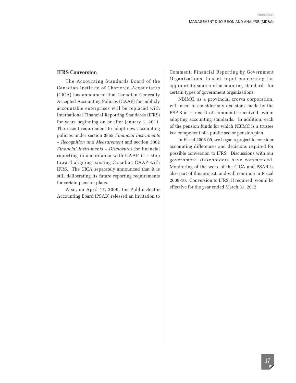# **IFRS Conversion**

The Accounting Standards Board of the Canadian Institute of Chartered Accountants (CICA) has announced that Canadian Generally Accepted Accounting Policies (GAAP) for publicly accountable enterprises will be replaced with International Financial Reporting Standards (IFRS) for years beginning on or after January 1, 2011. The recent requirement to adopt new accounting policies under section 3855 *Financial Instruments – Recognition and Measurement* and section 3862 *Financial Instruments – Disclosures* for financial reporting in accordance with GAAP is a step toward aligning existing Canadian GAAP with IFRS. The CICA separately announced that it is still deliberating its future reporting requirements for certain pension plans.

Also, on April 17, 2009, the Public Sector Accounting Board (PSAB) released an Invitation to

Comment, Financial Reporting by Government Organizations, to seek input concerning the appropriate source of accounting standards for certain types of government organizations.

NBIMC, as a provincial crown corporation, will need to consider any decisions made by the PSAB as a result of comments received, when adopting accounting standards. In addition, each of the pension funds for which NBIMC is a trustee is a component of a public sector pension plan.

In Fiscal 2008-09, we began a project to consider accounting differences and decisions required for possible conversion to IFRS. Discussions with our government stakeholders have commenced. Monitoring of the work of the CICA and PSAB is also part of this project, and will continue in Fiscal 2009-10. Conversion to IFRS, if required, would be effective for the year ended March 31, 2012.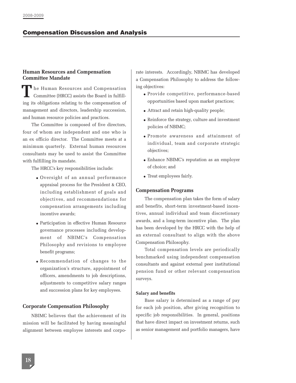# **Compensation Discussion and Analysis**

# **Human Resources and Compensation Committee Mandate**

**The Human Resources and Compensation** Committee (HRCC) assists the Board in fulfilling its obligations relating to the compensation of management and directors, leadership succession, and human resource policies and practices. **T**

The Committee is composed of five directors, four of whom are independent and one who is an ex officio director. The Committee meets at a minimum quarterly. External human resources consultants may be used to assist the Committee with fulfilling its mandate.

The HRCC's key responsibilities include:

- Oversight of an annual performance appraisal process for the President & CEO, including establishment of goals and objectives, and recommendations for compensation arrangements including incentive awards;
- Participation in effective Human Resource governance processes including development of NBIMC's Compensation Philosophy and revisions to employee benefit programs;
- Recommendation of changes to the organization's structure, appointment of officers, amendments to job descriptions, adjustments to competitive salary ranges and succession plans for key employees.

#### **Corporate Compensation Philosophy**

NBIMC believes that the achievement of its mission will be facilitated by having meaningful alignment between employee interests and corporate interests. Accordingly, NBIMC has developed a Compensation Philosophy to address the following objectives:

- Provide competitive, performance-based opportunities based upon market practices;
- Attract and retain high-quality people;
- Reinforce the strategy, culture and investment policies of NBIMC;
- Promote awareness and attainment of individual, team and corporate strategic objectives;
- Enhance NBIMC's reputation as an employer of choice; and
- Treat employees fairly.

#### **Compensation Programs**

The compensation plan takes the form of salary and benefits, short-term investment-based incentives, annual individual and team discretionary awards, and a long-term incentive plan. The plan has been developed by the HRCC with the help of an external consultant to align with the above Compensation Philosophy.

Total compensation levels are periodically benchmarked using independent compensation consultants and against external peer institutional pension fund or other relevant compensation surveys.

#### **Salary and benefits**

Base salary is determined as a range of pay for each job position, after giving recognition to specific job responsibilities. In general, positions that have direct impact on investment returns, such as senior management and portfolio managers, have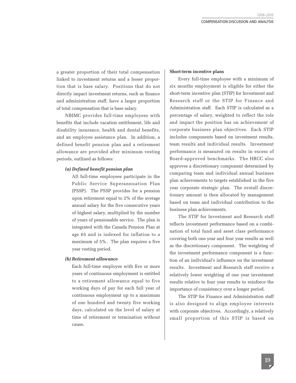a greater proportion of their total compensation linked to investment returns and a lesser proportion that is base salary. Positions that do not directly impact investment returns, such as finance and administration staff, have a larger proportion of total compensation that is base salary.

NBIMC provides full-time employees with benefits that include vacation entitlement, life and disability insurance, health and dental benefits, and an employee assistance plan. In addition, a defined benefit pension plan and a retirement allowance are provided after minimum vesting periods, outlined as follows:

#### *(a) Defined benefit pension plan*

All full-time employees participate in the Public Service Superannuation Plan (PSSP). The PSSP provides for a pension upon retirement equal to 2% of the average annual salary for the five consecutive years of highest salary, multiplied by the number of years of pensionable service. The plan is integrated with the Canada Pension Plan at age 65 and is indexed for inflation to a maximum of 5%. The plan requires a five year vesting period.

#### *(b) Retirement allowance*

Each full-time employee with five or more years of continuous employment is entitled to a retirement allowance equal to five working days of pay for each full year of continuous employment up to a maximum of one hundred and twenty five working days, calculated on the level of salary at time of retirement or termination without cause.

#### **Short-term incentive plans**

Every full-time employee with a minimum of six months employment is eligible for either the short-term incentive plan (STIP) for Investment and Research staff or the STIP for Finance and Administration staff. Each STIP is calculated as a percentage of salary, weighted to reflect the role and impact the position has on achievement of corporate business plan objectives. Each STIP includes components based on investment results, team results and individual results. Investment performance is measured on results in excess of Board-approved benchmarks. The HRCC also approves a discretionary component determined by comparing team and individual annual business plan achievements to targets established in the five year corporate strategic plan. The overall discretionary amount is then allocated by management based on team and individual contribution to the business plan achievements.

The STIP for Investment and Research staff reflects investment performance based on a combination of total fund and asset class performance covering both one year and four year results as well as the discretionary component. The weighting of the investment performance component is a function of an individual's influence on the investment results. Investment and Research staff receive a relatively lower weighting of one year investment results relative to four year results to reinforce the importance of consistency over a longer period.

The STIP for Finance and Administration staff is also designed to align employee interests with corporate objectives. Accordingly, a relatively small proportion of this STIP is based on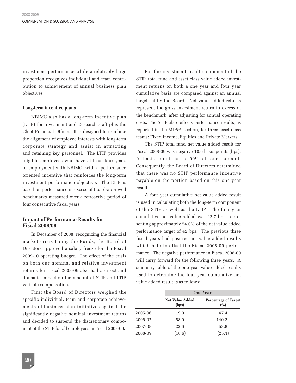investment performance while a relatively large proportion recognizes individual and team contribution to achievement of annual business plan objectives.

#### **Long-term incentive plans**

NBIMC also has a long-term incentive plan (LTIP) for Investment and Research staff plus the Chief Financial Officer. It is designed to reinforce the alignment of employee interests with long-term corporate strategy and assist in attracting and retaining key personnel. The LTIP provides eligible employees who have at least four years of employment with NBIMC, with a performance oriented incentive that reinforces the long-term investment performance objective. The LTIP is based on performance in excess of Board-approved benchmarks measured over a retroactive period of four consecutive fiscal years.

# **Impact of Performance Results for Fiscal 2008/09**

In December of 2008, recognizing the financial market crisis facing the Funds, the Board of Directors approved a salary freeze for the Fiscal 2009-10 operating budget. The effect of the crisis on both our nominal and relative investment returns for Fiscal 2008-09 also had a direct and dramatic impact on the amount of STIP and LTIP variable compensation.

First the Board of Directors weighed the specific individual, team and corporate achievements of business plan initiatives against the significantly negative nominal investment returns and decided to suspend the discretionary component of the STIP for all employees in Fiscal 2008-09.

For the investment result component of the STIP, total fund and asset class value added investment returns on both a one year and four year cumulative basis are compared against an annual target set by the Board. Net value added returns represent the gross investment return in excess of the benchmark, after adjusting for annual operating costs. The STIP also reflects performance results, as reported in the MD&A section, for three asset class teams: Fixed Income, Equities and Private Markets.

The STIP total fund net value added result for Fiscal 2008-09 was negative 10.6 basis points (bps). A basis point is 1/100th of one percent. Consequently, the Board of Directors determined that there was no STIP performance incentive payable on the portion based on this one year result.

A four year cumulative net value added result is used in calculating both the long-term component of the STIP as well as the LTIP. The four year cumulative net value added was 22.7 bps, representing approximately 54.0% of the net value added performance target of 42 bps. The previous three fiscal years had positive net value added results which help to offset the Fiscal 2008-09 performance. The negative performance in Fiscal 2008-09 will carry forward for the following three years. A summary table of the one year value added results used to determine the four year cumulative net value added result is as follows:

|         | <b>One Year</b>          |                                    |  |  |  |  |
|---------|--------------------------|------------------------------------|--|--|--|--|
|         | Net Value Added<br>(bps) | <b>Percentage of Target</b><br>(%) |  |  |  |  |
| 2005-06 | 19.9                     | 47.4                               |  |  |  |  |
| 2006-07 | 58.9                     | 140.2                              |  |  |  |  |
| 2007-08 | 22.6                     | 53.8                               |  |  |  |  |
| 2008-09 | (10.6)                   | (25.1)                             |  |  |  |  |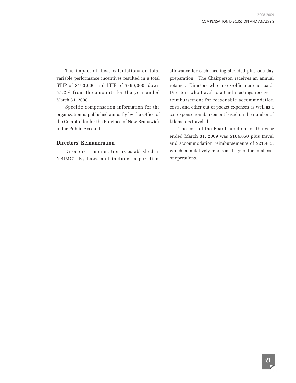The impact of these calculations on total variable performance incentives resulted in a total STIP of \$193,000 and LTIP of \$399,000, down 55.2% from the amounts for the year ended March 31, 2008.

Specific compensation information for the organization is published annually by the Office of the Comptroller for the Province of New Brunswick in the Public Accounts.

#### **Directors' Remuneration**

Directors' remuneration is established in NBIMC's By-Laws and includes a per diem

allowance for each meeting attended plus one day preparation. The Chairperson receives an annual retainer. Directors who are ex-officio are not paid. Directors who travel to attend meetings receive a reimbursement for reasonable accommodation costs, and other out of pocket expenses as well as a car expense reimbursement based on the number of kilometers traveled.

The cost of the Board function for the year ended March 31, 2009 was \$104,050 plus travel and accommodation reimbursements of \$21,485, which cumulatively represent 1.1% of the total cost of operations.